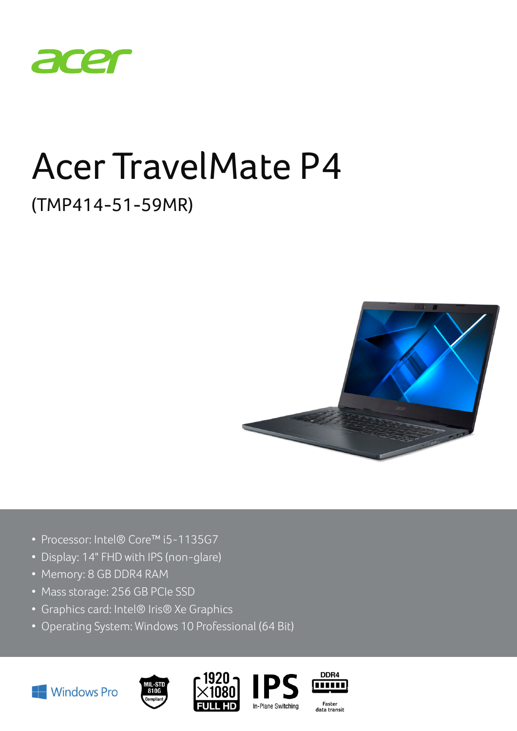

# Acer TravelMate P4

# (TMP414-51-59MR)



- Processor: Intel® Core™ i5-1135G7
- Display: 14" FHD with IPS (non-glare)
- Memory: 8 GB DDR4 RAM
- Mass storage: 256 GB PCIe SSD
- Graphics card: Intel® Iris® Xe Graphics
- Operating System: Windows 10 Professional (64 Bit)









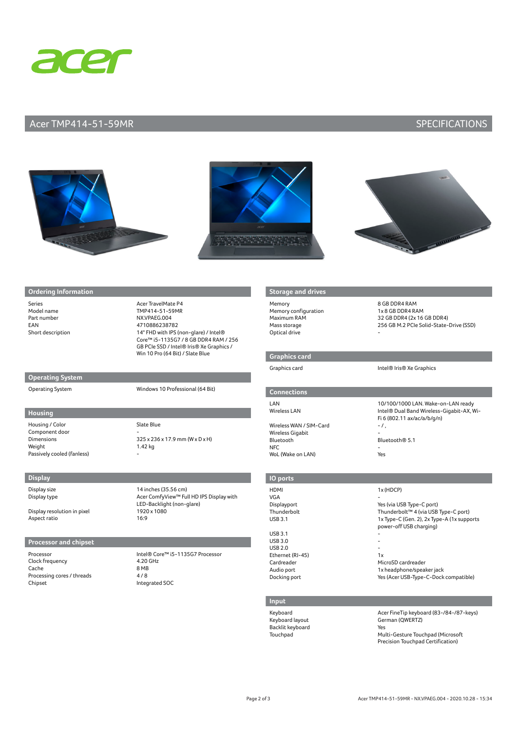

### Acer TMP414-51-59MR SPECIFICATIONS







#### **Ordering Information**

Part number NX.VPAEG.004 EAN 4710886238782

Series Acer TravelMate P4 Model name TMP414-51-59MR Short description 14" FHD with IPS (non-glare) / Intel® Core™ i5-1135G7 / 8 GB DDR4 RAM / 256 GB PCIe SSD / Intel® Iris® Xe Graphics / Win 10 Pro (64 Bit) / Slate Blue

**Operating System**

Operating System Windows 10 Professional (64 Bit)

#### **Housing**

Housing / Color Slate Blue Component door<br>Dimensions Weight 1.42 kg Passively cooled (fanless)

 $325 \times 236 \times 17.9$  mm (W  $\times$  D  $\times$  H)

**Display**

Display resolution in pixel 1920<br>Aspect ratio 16:9 Aspect ratio

#### **Processor and chipset**

Clock frequency and the 4.20 GHz<br>Cache 8 MB Cache Processing cores / threads 4 / 8<br>Chipset Integ

Display size 14 inches (35.56 cm)<br>Display type 14 inches (35.56 cm) Acer ComfyView™ Full HD IPS Display with LED-Backlight (non-glare)<br>1920 x 1080

Processor Intel® Core™ i5-1135G7 Processor Integrated SOC

#### **Storage and drive**

Memory 8 GB DDR4 RAM Memory configuration 1x 8 GB DDR4 RAM Optical drive

#### **Graphics card**

## **Connections**

Wireless WAN / SIM-Card - /, Wireless Gigabit Bluetooth Bluetooth® 5.1  $NFC$  . The contract of  $\sim$   $\sim$ WoL (Wake on LAN) Yes

### Maximum RAM 32 GB DDR4 (2x 16 GB DDR4) Mass storage 256 GB M.2 PCIe Solid-State-Drive (SSD)

#### Graphics card **Intel® Iris® Xe Graphics**

LAN 10/100/1000 LAN. Wake-on-LAN ready Wireless LAN **Intel®** Dual Band Wireless-Gigabit-AX, Wi-Fi 6 (802.11 ax/ac/a/b/g/n)

#### **IO ports**

| <b>HDMI</b>      | 1x (HDCP)                                                             |
|------------------|-----------------------------------------------------------------------|
| VGA              |                                                                       |
| Displayport      | Yes (via USB Type-C port)                                             |
| Thunderbolt      | Thunderbolt™ 4 (via USB Type-C port)                                  |
| <b>USB 3.1</b>   | 1x Type-C (Gen. 2), 2x Type-A (1x supports<br>power-off USB charging) |
| <b>USB 3.1</b>   |                                                                       |
| <b>USB 3.0</b>   |                                                                       |
| <b>USB 2.0</b>   |                                                                       |
| Ethernet (RJ-45) | 1x                                                                    |
| Cardreader       | MicroSD cardreader                                                    |
| Audio port       | 1x headphone/speaker jack                                             |
| Docking port     | Yes (Acer USB-Type-C-Dock compatible)                                 |

#### **Input**

Backlit keyboard<br>Touchnad Mul

#### Keyboard **Acer FineTip keyboard (83-/84-/87-keys)**<br>Keyboard layout **Acer FineTip Keyboard (QWERTZ**) German (QWERTZ) Multi-Gesture Touchpad (Microsoft Precision Touchpad Certification)